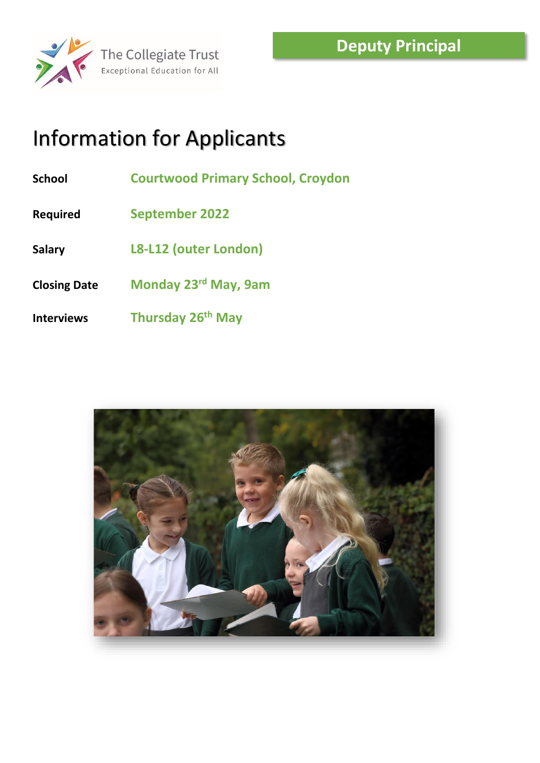

# Information for Applicants

- **School Courtwood Primary School, Croydon**
- **Required September 2022**
- **Salary L8-L12 (outer London)**
- **Closing Date Monday 23rd May, 9am**
- **Interviews Thursday 26th May**

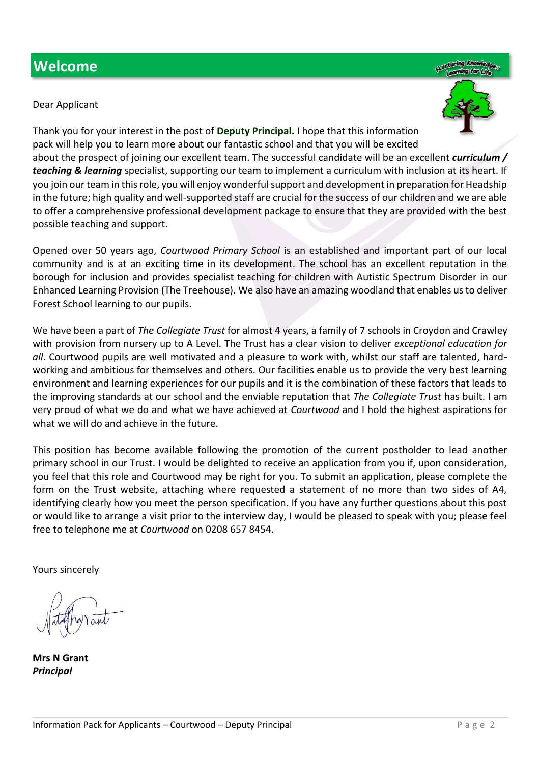### **Welcome**

Dear Applicant



Thank you for your interest in the post of **Deputy Principal.** I hope that this information pack will help you to learn more about our fantastic school and that you will be excited about the prospect of joining our excellent team. The successful candidate will be an excellent *curriculum / teaching & learning* specialist, supporting our team to implement a curriculum with inclusion at its heart. If you join our team in this role, you will enjoy wonderful support and development in preparation for Headship in the future; high quality and well-supported staff are crucial for the success of our children and we are able to offer a comprehensive professional development package to ensure that they are provided with the best possible teaching and support.

Opened over 50 years ago, *Courtwood Primary School* is an established and important part of our local community and is at an exciting time in its development. The school has an excellent reputation in the borough for inclusion and provides specialist teaching for children with Autistic Spectrum Disorder in our Enhanced Learning Provision (The Treehouse). We also have an amazing woodland that enables us to deliver Forest School learning to our pupils.

We have been a part of *The Collegiate Trust* for almost 4 years, a family of 7 schools in Croydon and Crawley with provision from nursery up to A Level. The Trust has a clear vision to deliver *exceptional education for all*. Courtwood pupils are well motivated and a pleasure to work with, whilst our staff are talented, hardworking and ambitious for themselves and others. Our facilities enable us to provide the very best learning environment and learning experiences for our pupils and it is the combination of these factors that leads to the improving standards at our school and the enviable reputation that *The Collegiate Trust* has built. I am very proud of what we do and what we have achieved at *Courtwood* and I hold the highest aspirations for what we will do and achieve in the future.

This position has become available following the promotion of the current postholder to lead another primary school in our Trust. I would be delighted to receive an application from you if, upon consideration, you feel that this role and Courtwood may be right for you. To submit an application, please complete the form on the Trust website, attaching where requested a statement of no more than two sides of A4, identifying clearly how you meet the person specification. If you have any further questions about this post or would like to arrange a visit prior to the interview day, I would be pleased to speak with you; please feel free to telephone me at *Courtwood* on 0208 657 8454.

Yours sincerely

**Mrs N Grant** *Principal*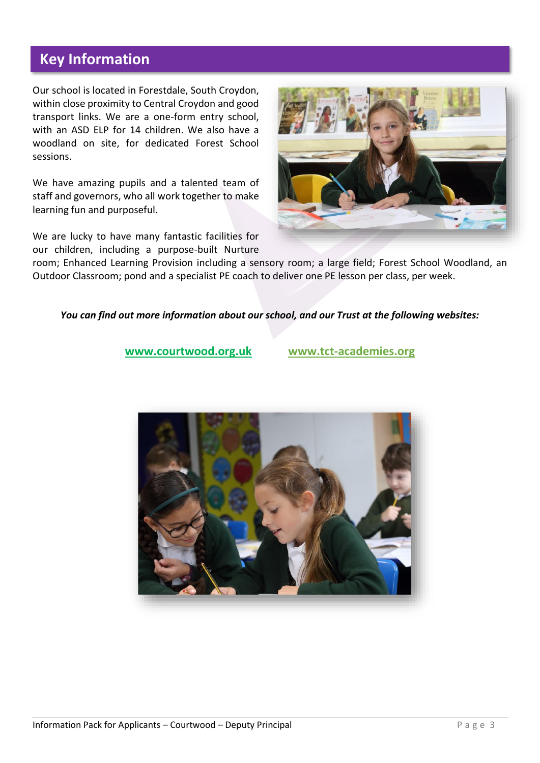### **Key Information**

Our school is located in Forestdale, South Croydon, within close proximity to Central Croydon and good transport links. We are a one-form entry school, with an ASD ELP for 14 children. We also have a woodland on site, for dedicated Forest School sessions.

We have amazing pupils and a talented team of staff and governors, who all work together to make learning fun and purposeful.

We are lucky to have many fantastic facilities for our children, including a purpose-built Nurture



room; Enhanced Learning Provision including a sensory room; a large field; Forest School Woodland, an Outdoor Classroom; pond and a specialist PE coach to deliver one PE lesson per class, per week.

### *You can find out more information about our school, and our Trust at the following websites:*

**[www.courtwood.org.uk](http://www.courtwood.org.uk/) [www.tct-academies.org](http://www.tct-academies.org/)**

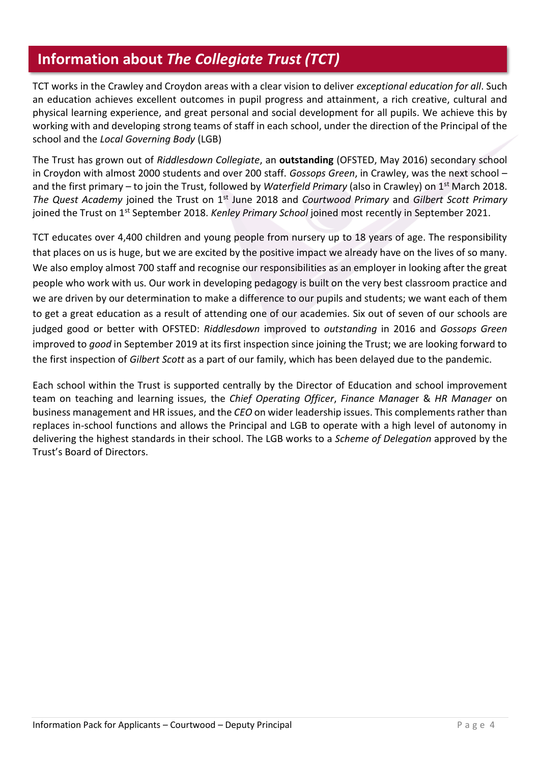### **Information about** *The Collegiate Trust (TCT)*

TCT works in the Crawley and Croydon areas with a clear vision to deliver *exceptional education for all*. Such an education achieves excellent outcomes in pupil progress and attainment, a rich creative, cultural and physical learning experience, and great personal and social development for all pupils. We achieve this by working with and developing strong teams of staff in each school, under the direction of the Principal of the school and the *Local Governing Body* (LGB)

The Trust has grown out of *Riddlesdown Collegiate*, an **outstanding** (OFSTED, May 2016) secondary school in Croydon with almost 2000 students and over 200 staff. *Gossops Green*, in Crawley, was the next school – and the first primary – to join the Trust, followed by *Waterfield Primary* (also in Crawley) on 1st March 2018. *The Quest Academy* joined the Trust on 1st June 2018 and *Courtwood Primary* and *Gilbert Scott Primary* joined the Trust on 1st September 2018. *Kenley Primary School* joined most recently in September 2021.

TCT educates over 4,400 children and young people from nursery up to 18 years of age. The responsibility that places on us is huge, but we are excited by the positive impact we already have on the lives of so many. We also employ almost 700 staff and recognise our responsibilities as an employer in looking after the great people who work with us. Our work in developing pedagogy is built on the very best classroom practice and we are driven by our determination to make a difference to our pupils and students; we want each of them to get a great education as a result of attending one of our academies. Six out of seven of our schools are judged good or better with OFSTED: *Riddlesdown* improved to *outstanding* in 2016 and *Gossops Green* improved to *good* in September 2019 at its first inspection since joining the Trust; we are looking forward to the first inspection of *Gilbert Scott* as a part of our family, which has been delayed due to the pandemic.

Each school within the Trust is supported centrally by the Director of Education and school improvement team on teaching and learning issues, the *Chief Operating Officer*, *Finance Manage*r & *HR Manager* on business management and HR issues, and the *CEO* on wider leadership issues. This complements rather than replaces in-school functions and allows the Principal and LGB to operate with a high level of autonomy in delivering the highest standards in their school. The LGB works to a *Scheme of Delegation* approved by the Trust's Board of Directors.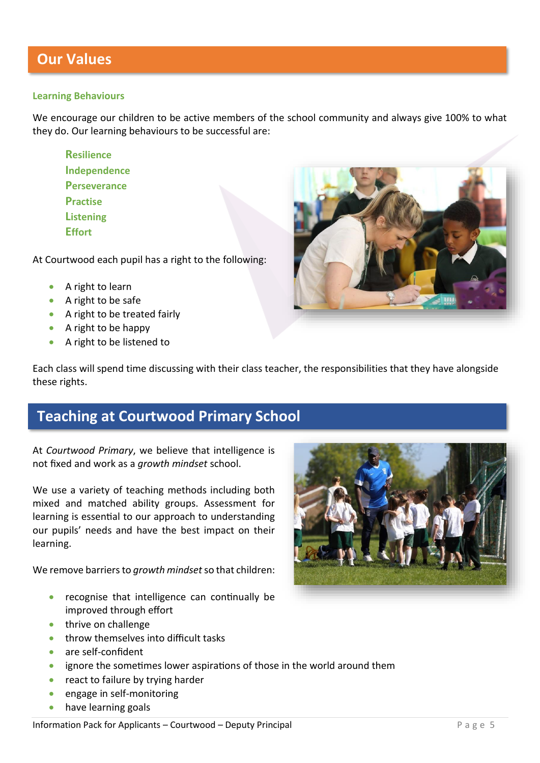### **Learning Behaviours**

We encourage our children to be active members of the school community and always give 100% to what they do. Our learning behaviours to be successful are:

**Resilience Independence Perseverance Practise Listening Effort**

At Courtwood each pupil has a right to the following:

- A right to learn
- A right to be safe
- A right to be treated fairly
- A right to be happy
- A right to be listened to



Each class will spend time discussing with their class teacher, the responsibilities that they have alongside these rights.

### **Teaching at Courtwood Primary School**

At *Courtwood Primary*, we believe that intelligence is not fixed and work as a *growth mindset* school.

We use a variety of teaching methods including both mixed and matched ability groups. Assessment for learning is essential to our approach to understanding our pupils' needs and have the best impact on their learning.

We remove barriers to *growth mindset*so that children:

- recognise that intelligence can continually be improved through effort
- thrive on challenge
- throw themselves into difficult tasks
- are self-confident
- ignore the sometimes lower aspirations of those in the world around them
- react to failure by trying harder
- engage in self-monitoring
- have learning goals

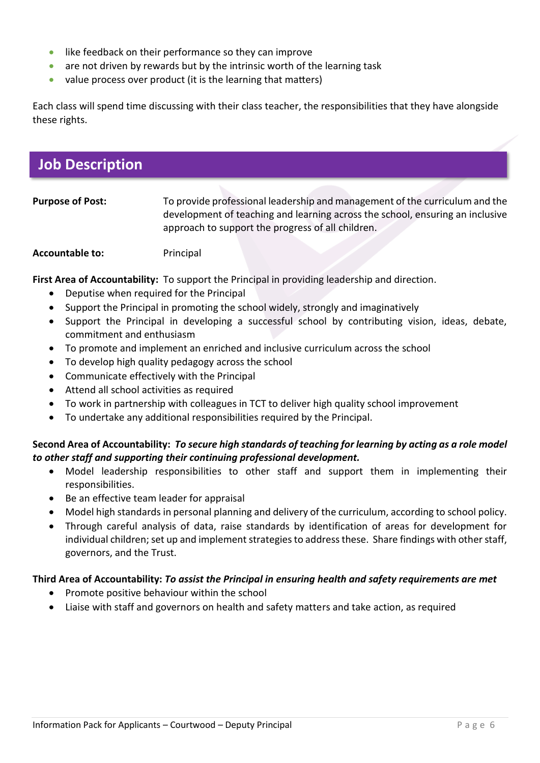- like feedback on their performance so they can improve
- are not driven by rewards but by the intrinsic worth of the learning task
- value process over product (it is the learning that matters)

Each class will spend time discussing with their class teacher, the responsibilities that they have alongside these rights.

### **Job Description**

| To provide professional leadership and management of the curriculum and the   |
|-------------------------------------------------------------------------------|
| development of teaching and learning across the school, ensuring an inclusive |
| approach to support the progress of all children.                             |
|                                                                               |

**Accountable to:** Principal

**First Area of Accountability:** To support the Principal in providing leadership and direction.

- Deputise when required for the Principal
- Support the Principal in promoting the school widely, strongly and imaginatively
- Support the Principal in developing a successful school by contributing vision, ideas, debate, commitment and enthusiasm
- To promote and implement an enriched and inclusive curriculum across the school
- To develop high quality pedagogy across the school
- Communicate effectively with the Principal
- Attend all school activities as required
- To work in partnership with colleagues in TCT to deliver high quality school improvement
- To undertake any additional responsibilities required by the Principal.

### **Second Area of Accountability:** *To secure high standards of teaching for learning by acting as a role model to other staff and supporting their continuing professional development.*

- Model leadership responsibilities to other staff and support them in implementing their responsibilities.
- Be an effective team leader for appraisal
- Model high standards in personal planning and delivery of the curriculum, according to school policy.
- Through careful analysis of data, raise standards by identification of areas for development for individual children; set up and implement strategies to address these. Share findings with other staff, governors, and the Trust.

### **Third Area of Accountability:** *To assist the Principal in ensuring health and safety requirements are met*

- Promote positive behaviour within the school
- Liaise with staff and governors on health and safety matters and take action, as required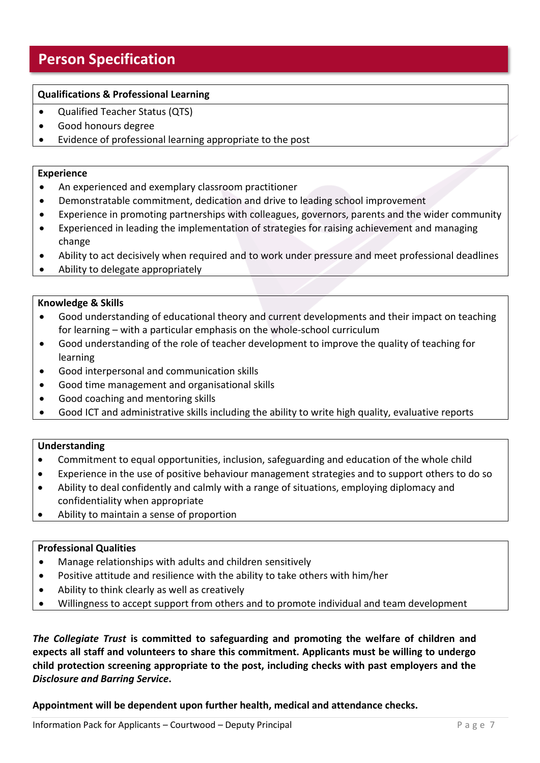### **Person Specification**

### **Qualifications & Professional Learning**

- Qualified Teacher Status (QTS)
- Good honours degree
- Evidence of professional learning appropriate to the post

#### **Experience**

- An experienced and exemplary classroom practitioner
- Demonstratable commitment, dedication and drive to leading school improvement
- Experience in promoting partnerships with colleagues, governors, parents and the wider community
- Experienced in leading the implementation of strategies for raising achievement and managing change
- Ability to act decisively when required and to work under pressure and meet professional deadlines
- Ability to delegate appropriately

#### **Knowledge & Skills**

- Good understanding of educational theory and current developments and their impact on teaching for learning – with a particular emphasis on the whole-school curriculum
- Good understanding of the role of teacher development to improve the quality of teaching for learning
- Good interpersonal and communication skills
- Good time management and organisational skills
- Good coaching and mentoring skills
- Good ICT and administrative skills including the ability to write high quality, evaluative reports

### **Understanding**

- Commitment to equal opportunities, inclusion, safeguarding and education of the whole child
- Experience in the use of positive behaviour management strategies and to support others to do so
- Ability to deal confidently and calmly with a range of situations, employing diplomacy and confidentiality when appropriate
- Ability to maintain a sense of proportion

### **Professional Qualities**

- Manage relationships with adults and children sensitively
- Positive attitude and resilience with the ability to take others with him/her
- Ability to think clearly as well as creatively
- Willingness to accept support from others and to promote individual and team development

*The Collegiate Trust* **is committed to safeguarding and promoting the welfare of children and expects all staff and volunteers to share this commitment. Applicants must be willing to undergo child protection screening appropriate to the post, including checks with past employers and the**  *Disclosure and Barring Service***.** 

**Appointment will be dependent upon further health, medical and attendance checks.**